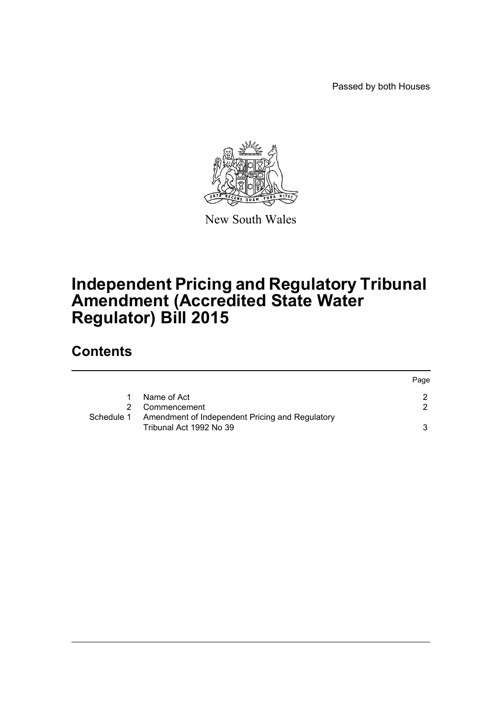Passed by both Houses



New South Wales

## **Independent Pricing and Regulatory Tribunal Amendment (Accredited State Water Regulator) Bill 2015**

## **Contents**

|            |                                                                            | Page |
|------------|----------------------------------------------------------------------------|------|
|            | Name of Act                                                                |      |
| 2.         | Commencement                                                               | 2    |
| Schedule 1 | Amendment of Independent Pricing and Regulatory<br>Tribunal Act 1992 No 39 | 3    |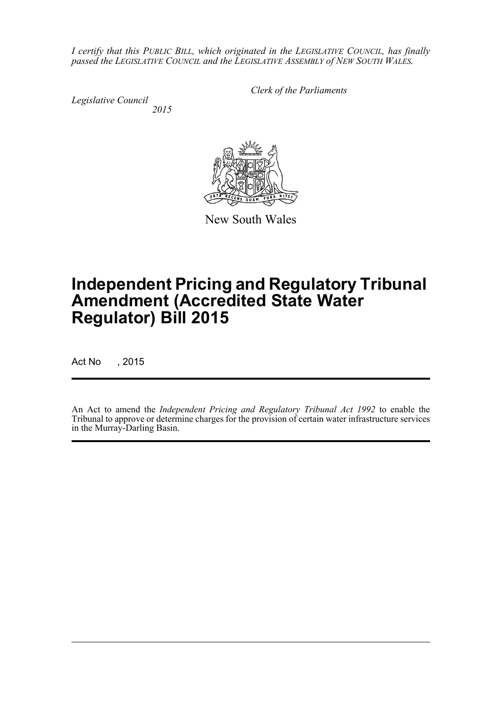*I certify that this PUBLIC BILL, which originated in the LEGISLATIVE COUNCIL, has finally passed the LEGISLATIVE COUNCIL and the LEGISLATIVE ASSEMBLY of NEW SOUTH WALES.*

*Legislative Council 2015* *Clerk of the Parliaments*

New South Wales

# **Independent Pricing and Regulatory Tribunal Amendment (Accredited State Water Regulator) Bill 2015**

Act No , 2015

An Act to amend the *Independent Pricing and Regulatory Tribunal Act 1992* to enable the Tribunal to approve or determine charges for the provision of certain water infrastructure services in the Murray-Darling Basin.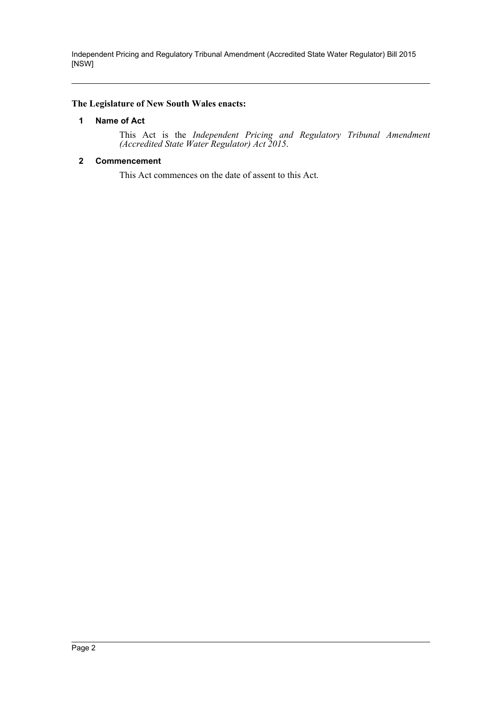Independent Pricing and Regulatory Tribunal Amendment (Accredited State Water Regulator) Bill 2015 [NSW]

#### <span id="page-2-0"></span>**The Legislature of New South Wales enacts:**

#### **1 Name of Act**

This Act is the *Independent Pricing and Regulatory Tribunal Amendment (Accredited State Water Regulator) Act 2015*.

#### <span id="page-2-1"></span>**2 Commencement**

This Act commences on the date of assent to this Act.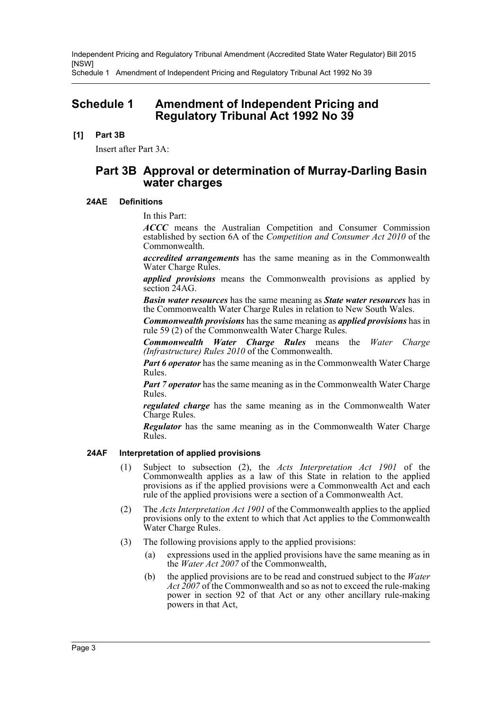Independent Pricing and Regulatory Tribunal Amendment (Accredited State Water Regulator) Bill 2015 [NSW]

Schedule 1 Amendment of Independent Pricing and Regulatory Tribunal Act 1992 No 39

### <span id="page-3-0"></span>**Schedule 1 Amendment of Independent Pricing and Regulatory Tribunal Act 1992 No 39**

#### **[1] Part 3B**

Insert after Part 3A:

### **Part 3B Approval or determination of Murray-Darling Basin water charges**

#### **24AE Definitions**

In this Part:

*ACCC* means the Australian Competition and Consumer Commission established by section 6A of the *Competition and Consumer Act 2010* of the Commonwealth.

*accredited arrangements* has the same meaning as in the Commonwealth Water Charge Rules.

*applied provisions* means the Commonwealth provisions as applied by section 24AG.

*Basin water resources* has the same meaning as *State water resources* has in the Commonwealth Water Charge Rules in relation to New South Wales.

*Commonwealth provisions* has the same meaning as *applied provisions* has in rule 59 (2) of the Commonwealth Water Charge Rules.

*Commonwealth Water Charge Rules* means the *Water Charge (Infrastructure) Rules 2010* of the Commonwealth.

*Part 6 operator* has the same meaning as in the Commonwealth Water Charge Rules.

*Part 7 operator* has the same meaning as in the Commonwealth Water Charge Rules.

*regulated charge* has the same meaning as in the Commonwealth Water Charge Rules.

*Regulator* has the same meaning as in the Commonwealth Water Charge Rules.

#### **24AF Interpretation of applied provisions**

- (1) Subject to subsection (2), the *Acts Interpretation Act 1901* of the Commonwealth applies as a law of this State in relation to the applied provisions as if the applied provisions were a Commonwealth Act and each rule of the applied provisions were a section of a Commonwealth Act.
- (2) The *Acts Interpretation Act 1901* of the Commonwealth applies to the applied provisions only to the extent to which that Act applies to the Commonwealth Water Charge Rules.
- (3) The following provisions apply to the applied provisions:
	- (a) expressions used in the applied provisions have the same meaning as in the *Water Act 2007* of the Commonwealth,
	- (b) the applied provisions are to be read and construed subject to the *Water Act 2007* of the Commonwealth and so as not to exceed the rule-making power in section 92 of that Act or any other ancillary rule-making powers in that Act,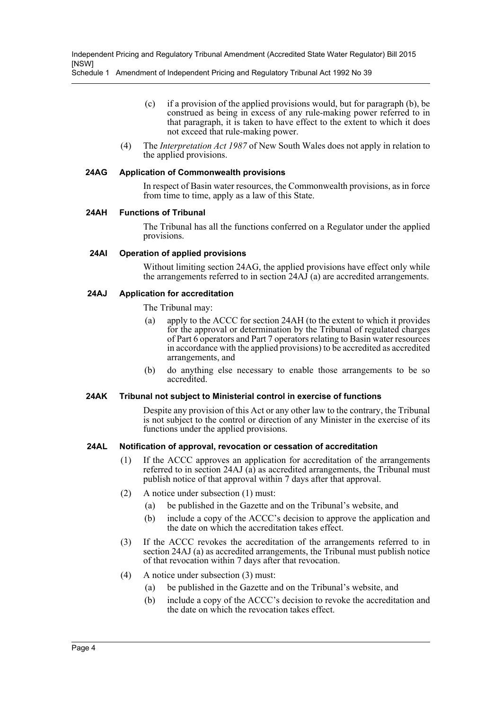Schedule 1 Amendment of Independent Pricing and Regulatory Tribunal Act 1992 No 39

- (c) if a provision of the applied provisions would, but for paragraph (b), be construed as being in excess of any rule-making power referred to in that paragraph, it is taken to have effect to the extent to which it does not exceed that rule-making power.
- (4) The *Interpretation Act 1987* of New South Wales does not apply in relation to the applied provisions.

#### **24AG Application of Commonwealth provisions**

In respect of Basin water resources, the Commonwealth provisions, as in force from time to time, apply as a law of this State.

#### **24AH Functions of Tribunal**

The Tribunal has all the functions conferred on a Regulator under the applied provisions.

#### **24AI Operation of applied provisions**

Without limiting section 24AG, the applied provisions have effect only while the arrangements referred to in section  $24AJ(a)$  are accredited arrangements.

#### **24AJ Application for accreditation**

- The Tribunal may:
- (a) apply to the ACCC for section 24AH (to the extent to which it provides for the approval or determination by the Tribunal of regulated charges of Part 6 operators and Part 7 operators relating to Basin water resources in accordance with the applied provisions) to be accredited as accredited arrangements, and
- (b) do anything else necessary to enable those arrangements to be so accredited.

#### **24AK Tribunal not subject to Ministerial control in exercise of functions**

Despite any provision of this Act or any other law to the contrary, the Tribunal is not subject to the control or direction of any Minister in the exercise of its functions under the applied provisions.

#### **24AL Notification of approval, revocation or cessation of accreditation**

- (1) If the ACCC approves an application for accreditation of the arrangements referred to in section 24AJ (a) as accredited arrangements, the Tribunal must publish notice of that approval within 7 days after that approval.
- (2) A notice under subsection (1) must:
	- (a) be published in the Gazette and on the Tribunal's website, and
	- (b) include a copy of the ACCC's decision to approve the application and the date on which the accreditation takes effect.
- (3) If the ACCC revokes the accreditation of the arrangements referred to in section 24AJ (a) as accredited arrangements, the Tribunal must publish notice of that revocation within 7 days after that revocation.
- (4) A notice under subsection (3) must:
	- (a) be published in the Gazette and on the Tribunal's website, and
	- (b) include a copy of the ACCC's decision to revoke the accreditation and the date on which the revocation takes effect.